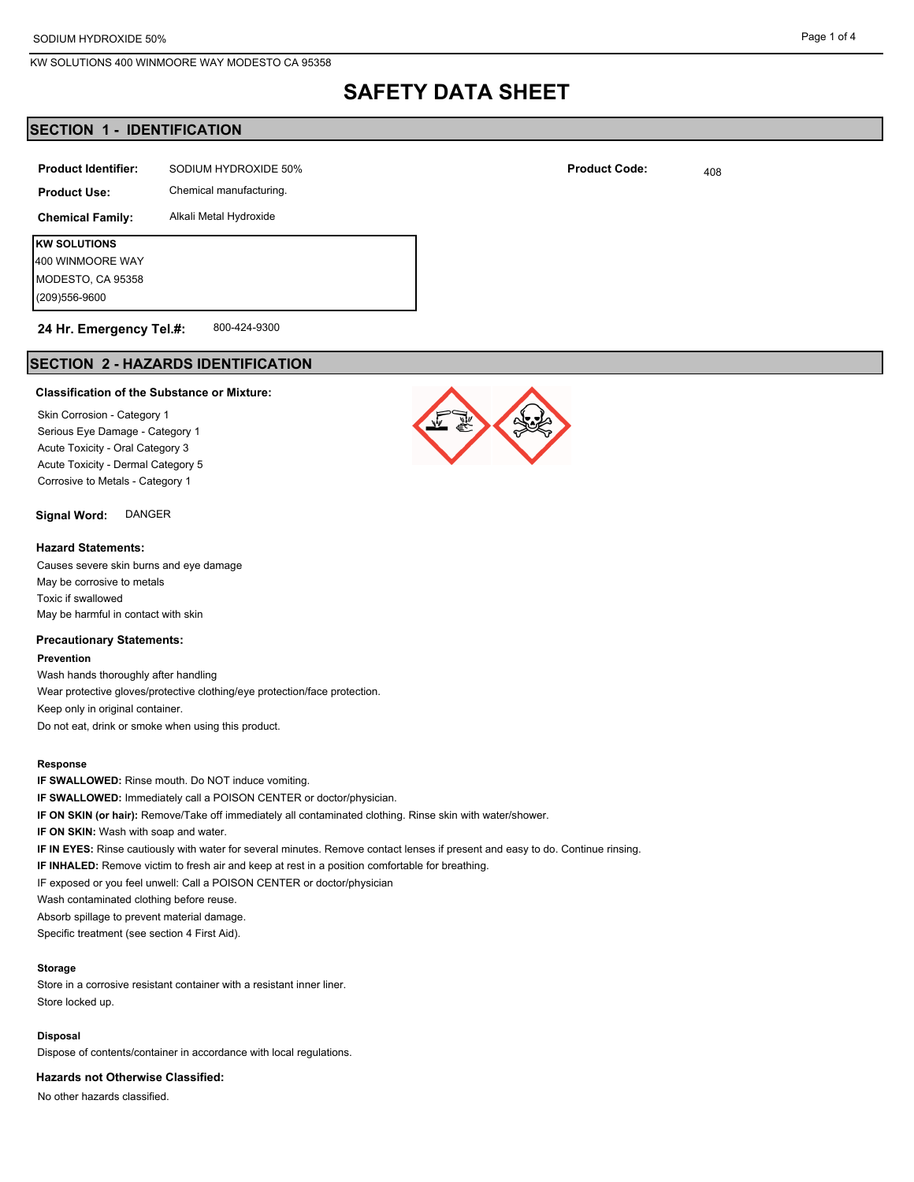## **SAFETY DATA SHEET**

## **SECTION 1 - IDENTIFICATION**

| <b>Product Identifier:</b> | SODIUM HYDROXIDE 50%    |  |
|----------------------------|-------------------------|--|
| <b>Product Use:</b>        | Chemical manufacturing. |  |
| <b>Chemical Family:</b>    | Alkali Metal Hydroxide  |  |
| <b>KW SOLUTIONS</b>        |                         |  |
| 400 WINMOORE WAY           |                         |  |
| MODESTO, CA 95358          |                         |  |
| (209) 556-9600             |                         |  |

#### 800-424-9300 **24 Hr. Emergency Tel.#:**

## **SECTION 2 - HAZARDS IDENTIFICATION**

### **Classification of the Substance or Mixture:**

Skin Corrosion - Category 1 Serious Eye Damage - Category 1 Acute Toxicity - Oral Category 3 Acute Toxicity - Dermal Category 5 Corrosive to Metals - Category 1

**Signal Word:** DANGER

## **Hazard Statements:**

Causes severe skin burns and eye damage May be corrosive to metals Toxic if swallowed May be harmful in contact with skin

## **Precautionary Statements:**

**Prevention**

Wash hands thoroughly after handling Wear protective gloves/protective clothing/eye protection/face protection. Keep only in original container. Do not eat, drink or smoke when using this product.

#### **Response**

**IF SWALLOWED:** Rinse mouth. Do NOT induce vomiting. **IF SWALLOWED:** Immediately call a POISON CENTER or doctor/physician. **IF ON SKIN (or hair):** Remove/Take off immediately all contaminated clothing. Rinse skin with water/shower. **IF ON SKIN:** Wash with soap and water. **IF IN EYES:** Rinse cautiously with water for several minutes. Remove contact lenses if present and easy to do. Continue rinsing. **IF INHALED:** Remove victim to fresh air and keep at rest in a position comfortable for breathing. IF exposed or you feel unwell: Call a POISON CENTER or doctor/physician Wash contaminated clothing before reuse. Absorb spillage to prevent material damage. Specific treatment (see section 4 First Aid).

#### **Storage**

Store in a corrosive resistant container with a resistant inner liner. Store locked up.

#### **Disposal**

Dispose of contents/container in accordance with local regulations.

**Hazards not Otherwise Classified:**

No other hazards classified.

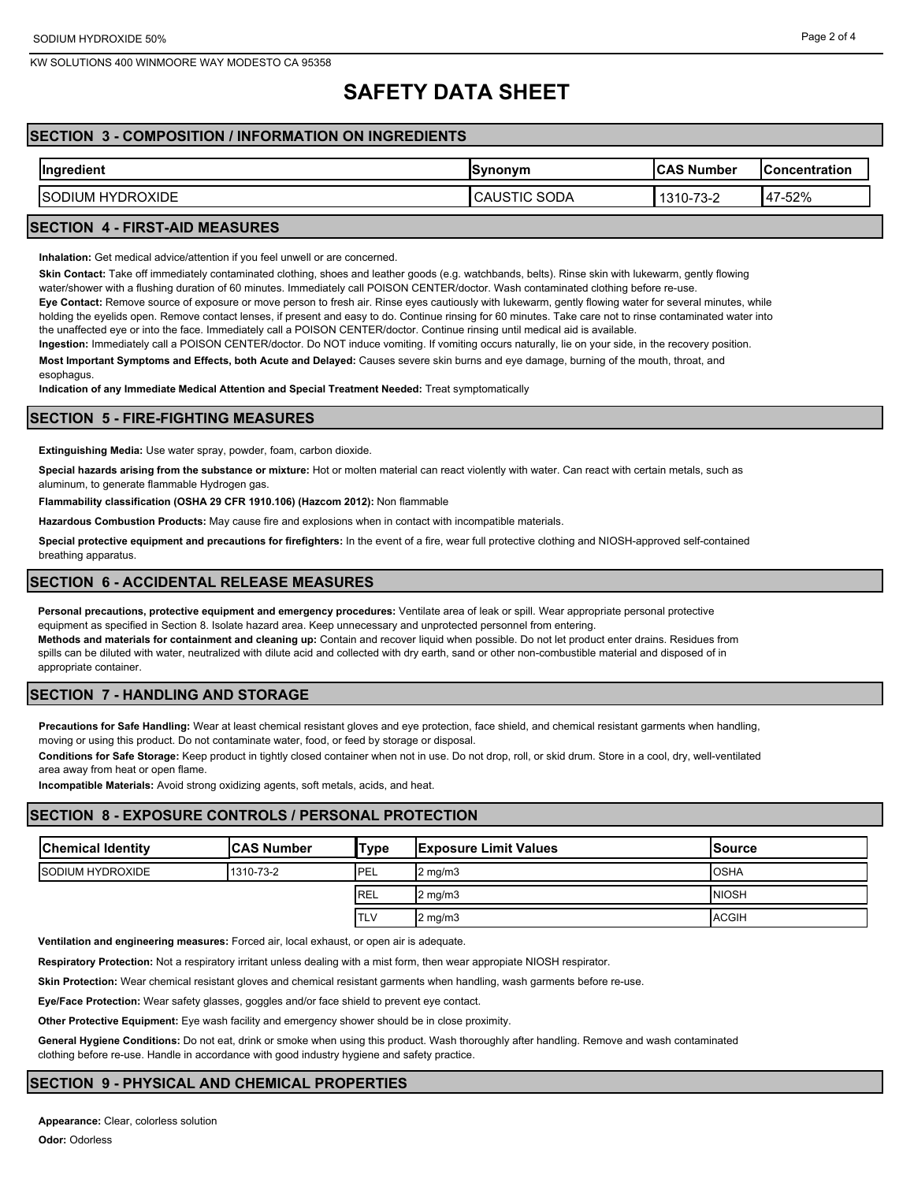## **SAFETY DATA SHEET**

## **SECTION 3 - COMPOSITION / INFORMATION ON INGREDIENTS**

| $\sim$<br>Ingredient               | <b>Synonym</b>                   | <b>ICAS Number</b> | lConcentration |
|------------------------------------|----------------------------------|--------------------|----------------|
| <b>HYDROXIDE</b><br><b>ISODIUM</b> | <b>SODA</b><br>הו<br>CAUS<br>∣।∪ | 1310-73-2          | 47-52%         |
|                                    |                                  |                    |                |

## **SECTION 4 - FIRST-AID MEASURES**

**Inhalation:** Get medical advice/attention if you feel unwell or are concerned.

**Skin Contact:** Take off immediately contaminated clothing, shoes and leather goods (e.g. watchbands, belts). Rinse skin with lukewarm, gently flowing

water/shower with a flushing duration of 60 minutes. Immediately call POISON CENTER/doctor. Wash contaminated clothing before re-use.

**Eye Contact:** Remove source of exposure or move person to fresh air. Rinse eyes cautiously with lukewarm, gently flowing water for several minutes, while holding the eyelids open. Remove contact lenses, if present and easy to do. Continue rinsing for 60 minutes. Take care not to rinse contaminated water into the unaffected eye or into the face. Immediately call a POISON CENTER/doctor. Continue rinsing until medical aid is available.

**Ingestion:** Immediately call a POISON CENTER/doctor. Do NOT induce vomiting. If vomiting occurs naturally, lie on your side, in the recovery position. **Most Important Symptoms and Effects, both Acute and Delayed:** Causes severe skin burns and eye damage, burning of the mouth, throat, and esophagus.

**Indication of any Immediate Medical Attention and Special Treatment Needed:** Treat symptomatically

## **SECTION 5 - FIRE-FIGHTING MEASURES**

**Extinguishing Media:** Use water spray, powder, foam, carbon dioxide.

**Special hazards arising from the substance or mixture:** Hot or molten material can react violently with water. Can react with certain metals, such as aluminum, to generate flammable Hydrogen gas.

**Flammability classification (OSHA 29 CFR 1910.106) (Hazcom 2012):** Non flammable

**Hazardous Combustion Products:** May cause fire and explosions when in contact with incompatible materials.

**Special protective equipment and precautions for firefighters:** In the event of a fire, wear full protective clothing and NIOSH-approved self-contained breathing apparatus.

## **SECTION 6 - ACCIDENTAL RELEASE MEASURES**

**Personal precautions, protective equipment and emergency procedures:** Ventilate area of leak or spill. Wear appropriate personal protective equipment as specified in Section 8. Isolate hazard area. Keep unnecessary and unprotected personnel from entering.

**Methods and materials for containment and cleaning up:** Contain and recover liquid when possible. Do not let product enter drains. Residues from spills can be diluted with water, neutralized with dilute acid and collected with dry earth, sand or other non-combustible material and disposed of in appropriate container.

## **SECTION 7 - HANDLING AND STORAGE**

**Precautions for Safe Handling:** Wear at least chemical resistant gloves and eye protection, face shield, and chemical resistant garments when handling, moving or using this product. Do not contaminate water, food, or feed by storage or disposal.

**Conditions for Safe Storage:** Keep product in tightly closed container when not in use. Do not drop, roll, or skid drum. Store in a cool, dry, well-ventilated area away from heat or open flame.

**Incompatible Materials:** Avoid strong oxidizing agents, soft metals, acids, and heat.

### **SECTION 8 - EXPOSURE CONTROLS / PERSONAL PROTECTION**

| <b>Chemical Identity</b> | <b>ICAS Number</b> | 'Туре       | <b>Exposure Limit Values</b> | lSource      |
|--------------------------|--------------------|-------------|------------------------------|--------------|
| <b>ISODIUM HYDROXIDE</b> | 1310-73-2          | <b>IPEL</b> | $2 \text{ mg/m}$             | <b>OSHA</b>  |
|                          |                    | <b>IREL</b> | $2 \text{ mg/m}$             | <b>NIOSH</b> |
|                          |                    | <b>ITLV</b> | $2 \text{ mg/m}$             | <b>ACGIH</b> |

**Ventilation and engineering measures:** Forced air, local exhaust, or open air is adequate.

**Respiratory Protection:** Not a respiratory irritant unless dealing with a mist form, then wear appropiate NIOSH respirator.

**Skin Protection:** Wear chemical resistant gloves and chemical resistant garments when handling, wash garments before re-use.

**Eye/Face Protection:** Wear safety glasses, goggles and/or face shield to prevent eye contact.

**Other Protective Equipment:** Eye wash facility and emergency shower should be in close proximity.

**General Hygiene Conditions:** Do not eat, drink or smoke when using this product. Wash thoroughly after handling. Remove and wash contaminated clothing before re-use. Handle in accordance with good industry hygiene and safety practice.

## **SECTION 9 - PHYSICAL AND CHEMICAL PROPERTIES**

**Appearance:** Clear, colorless solution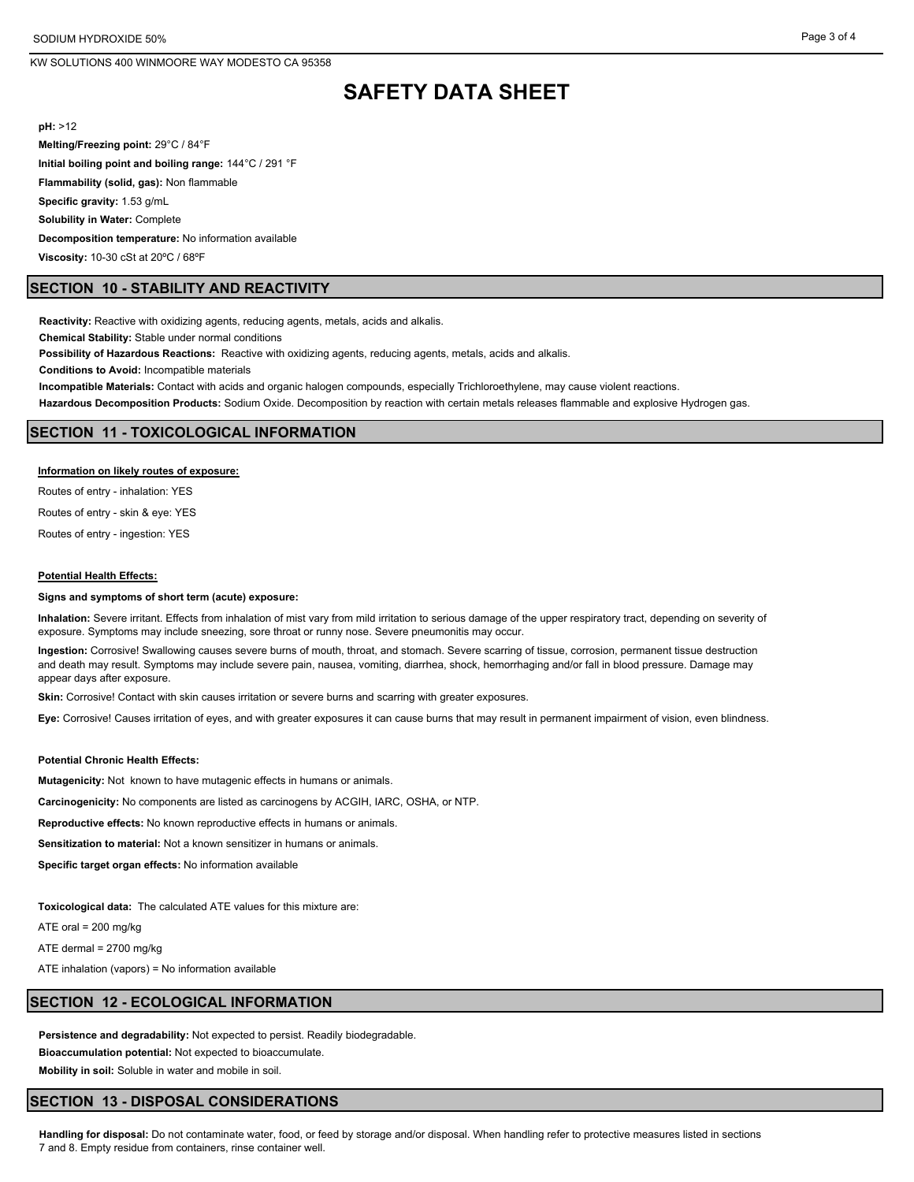## **SAFETY DATA SHEET**

**pH:** >12

**Melting/Freezing point:** 29°C / 84°F

**Initial boiling point and boiling range:** 144°C / 291 °F

**Flammability (solid, gas):** Non flammable

**Specific gravity:** 1.53 g/mL

**Solubility in Water:** Complete

**Decomposition temperature:** No information available

**Viscosity:** 10-30 cSt at 20ºC / 68ºF

## **SECTION 10 - STABILITY AND REACTIVITY**

**Reactivity:** Reactive with oxidizing agents, reducing agents, metals, acids and alkalis.

**Chemical Stability:** Stable under normal conditions

**Possibility of Hazardous Reactions:** Reactive with oxidizing agents, reducing agents, metals, acids and alkalis.

**Conditions to Avoid:** Incompatible materials

**Incompatible Materials:** Contact with acids and organic halogen compounds, especially Trichloroethylene, may cause violent reactions.

**Hazardous Decomposition Products:** Sodium Oxide. Decomposition by reaction with certain metals releases flammable and explosive Hydrogen gas.

#### **SECTION 11 - TOXICOLOGICAL INFORMATION**

#### **Information on likely routes of exposure:**

Routes of entry - inhalation: YES

Routes of entry - skin & eye: YES

Routes of entry - ingestion: YES

#### **Potential Health Effects:**

#### **Signs and symptoms of short term (acute) exposure:**

**Inhalation:** Severe irritant. Effects from inhalation of mist vary from mild irritation to serious damage of the upper respiratory tract, depending on severity of exposure. Symptoms may include sneezing, sore throat or runny nose. Severe pneumonitis may occur.

**Ingestion:** Corrosive! Swallowing causes severe burns of mouth, throat, and stomach. Severe scarring of tissue, corrosion, permanent tissue destruction and death may result. Symptoms may include severe pain, nausea, vomiting, diarrhea, shock, hemorrhaging and/or fall in blood pressure. Damage may appear days after exposure.

**Skin:** Corrosive! Contact with skin causes irritation or severe burns and scarring with greater exposures.

**Eye:** Corrosive! Causes irritation of eyes, and with greater exposures it can cause burns that may result in permanent impairment of vision, even blindness.

#### **Potential Chronic Health Effects:**

**Mutagenicity:** Not known to have mutagenic effects in humans or animals.

**Carcinogenicity:** No components are listed as carcinogens by ACGIH, IARC, OSHA, or NTP.

**Reproductive effects:** No known reproductive effects in humans or animals.

**Sensitization to material:** Not a known sensitizer in humans or animals.

**Specific target organ effects:** No information available

**Toxicological data:** The calculated ATE values for this mixture are:

ATE oral = 200 mg/kg

ATE dermal = 2700 mg/kg

ATE inhalation (vapors) = No information available

## **SECTION 12 - ECOLOGICAL INFORMATION**

**Persistence and degradability:** Not expected to persist. Readily biodegradable.

**Bioaccumulation potential:** Not expected to bioaccumulate.

**Mobility in soil:** Soluble in water and mobile in soil.

## **SECTION 13 - DISPOSAL CONSIDERATIONS**

**Handling for disposal:** Do not contaminate water, food, or feed by storage and/or disposal. When handling refer to protective measures listed in sections 7 and 8. Empty residue from containers, rinse container well.